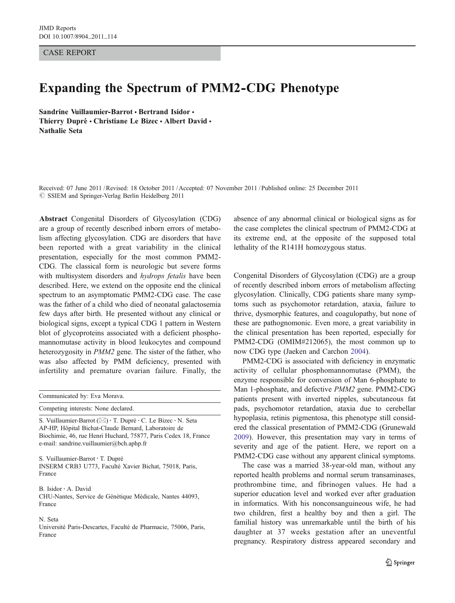CASE REPORT

## Expanding the Spectrum of PMM2-CDG Phenotype

Sandrine Vuillaumier-Barrot • Bertrand Isidor • Thierry Dupré • Christiane Le Bizec • Albert David • Nathalie Seta

Received: 07 June 2011 /Revised: 18 October 2011 /Accepted: 07 November 2011 / Published online: 25 December 2011  $\oslash$  SSIEM and Springer-Verlag Berlin Heidelberg 2011

Abstract Congenital Disorders of Glycosylation (CDG) are a group of recently described inborn errors of metabolism affecting glycosylation. CDG are disorders that have been reported with a great variability in the clinical presentation, especially for the most common PMM2- CDG. The classical form is neurologic but severe forms with multisystem disorders and hydrops fetalis have been described. Here, we extend on the opposite end the clinical spectrum to an asymptomatic PMM2-CDG case. The case was the father of a child who died of neonatal galactosemia few days after birth. He presented without any clinical or biological signs, except a typical CDG 1 pattern in Western blot of glycoproteins associated with a deficient phosphomannomutase activity in blood leukocytes and compound heterozygosity in PMM2 gene. The sister of the father, who was also affected by PMM deficiency, presented with infertility and premature ovarian failure. Finally, the

| Communicated by: Eva Morava.        |  |
|-------------------------------------|--|
| Competing interests: None declared. |  |

S. Vuillaumier-Barrot (⊠) · T. Dupré · C. Le Bizec · N. Seta AP-HP, Hôpital Bichat-Claude Bernard, Laboratoire de Biochimie, 46, rue Henri Huchard, 75877, Paris Cedex 18, France e-mail: sandrine.vuillaumier@bch.aphp.fr

S. Vuillaumier-Barrot : T. Dupré

INSERM CRB3 U773, Faculté Xavier Bichat, 75018, Paris, France

B. Isidor : A. David CHU-Nantes, Service de Génétique Médicale, Nantes 44093, France

## N. Seta

Université Paris-Descartes, Faculté de Pharmacie, 75006, Paris, France

absence of any abnormal clinical or biological signs as for the case completes the clinical spectrum of PMM2-CDG at its extreme end, at the opposite of the supposed total lethality of the R141H homozygous status.

Congenital Disorders of Glycosylation (CDG) are a group of recently described inborn errors of metabolism affecting glycosylation. Clinically, CDG patients share many symptoms such as psychomotor retardation, ataxia, failure to thrive, dysmorphic features, and coagulopathy, but none of these are pathognomonic. Even more, a great variability in the clinical presentation has been reported, especially for PMM2-CDG (OMIM#212065), the most common up to now CDG type (Jaeken and Carchon [2004](#page-2-0)).

PMM2-CDG is associated with deficiency in enzymatic activity of cellular phosphomannomutase (PMM), the enzyme responsible for conversion of Man 6-phosphate to Man 1-phosphate, and defective PMM2 gene. PMM2-CDG patients present with inverted nipples, subcutaneous fat pads, psychomotor retardation, ataxia due to cerebellar hypoplasia, retinis pigmentosa, this phenotype still considered the classical presentation of PMM2-CDG (Grunewald [2009](#page-2-0)). However, this presentation may vary in terms of severity and age of the patient. Here, we report on a PMM2-CDG case without any apparent clinical symptoms.

The case was a married 38-year-old man, without any reported health problems and normal serum transaminases, prothrombine time, and fibrinogen values. He had a superior education level and worked ever after graduation in informatics. With his nonconsanguineous wife, he had two children, first a healthy boy and then a girl. The familial history was unremarkable until the birth of his daughter at 37 weeks gestation after an uneventful pregnancy. Respiratory distress appeared secondary and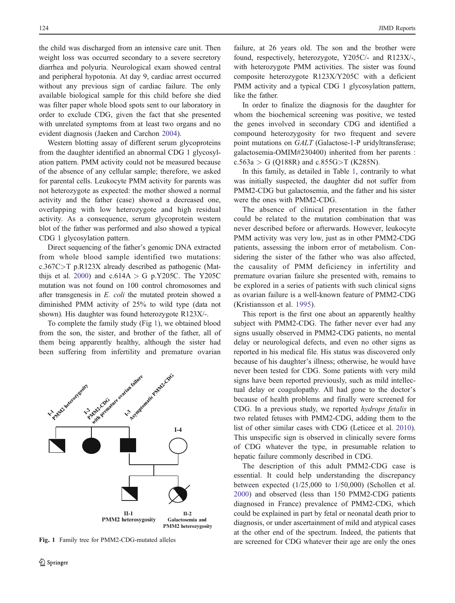the child was discharged from an intensive care unit. Then weight loss was occurred secondary to a severe secretory diarrhea and polyuria. Neurological exam showed central and peripheral hypotonia. At day 9, cardiac arrest occurred without any previous sign of cardiac failure. The only available biological sample for this child before she died was filter paper whole blood spots sent to our laboratory in order to exclude CDG, given the fact that she presented with unrelated symptoms from at least two organs and no evident diagnosis (Jaeken and Carchon [2004](#page-2-0)).

Western blotting assay of different serum glycoproteins from the daughter identified an abnormal CDG 1 glycosylation pattern. PMM activity could not be measured because of the absence of any cellular sample; therefore, we asked for parental cells. Leukocyte PMM activity for parents was not heterozygote as expected: the mother showed a normal activity and the father (case) showed a decreased one, overlapping with low heterozygote and high residual activity. As a consequence, serum glycoprotein western blot of the father was performed and also showed a typical CDG 1 glycosylation pattern.

Direct sequencing of the father's genomic DNA extracted from whole blood sample identified two mutations: c.367C>T p.R123X already described as pathogenic (Mat-thijs et al. [2000\)](#page-2-0) and  $c.614A > G$  p.Y205C. The Y205C mutation was not found on 100 control chromosomes and after transgenesis in E. coli the mutated protein showed a diminished PMM activity of 25% to wild type (data not shown). His daughter was found heterozygote R123X/-.

To complete the family study (Fig 1), we obtained blood from the son, the sister, and brother of the father, all of them being apparently healthy, although the sister had been suffering from infertility and premature ovarian



Fig. 1 Family tree for PMM2-CDG-mutated alleles

failure, at 26 years old. The son and the brother were found, respectively, heterozygote, Y205C/- and R123X/-, with heterozygote PMM activities. The sister was found composite heterozygote R123X/Y205C with a deficient PMM activity and a typical CDG 1 glycosylation pattern, like the father.

In order to finalize the diagnosis for the daughter for whom the biochemical screening was positive, we tested the genes involved in secondary CDG and identified a compound heterozygosity for two frequent and severe point mutations on GALT (Galactose-1-P uridyltransferase; galactosemia-OMIM#230400) inherited from her parents : c.563a > G (Q188R) and c.855G > T (K285N).

In this family, as detailed in Table [1](#page-2-0), contrarily to what was initially suspected, the daughter did not suffer from PMM2-CDG but galactosemia, and the father and his sister were the ones with PMM2-CDG.

The absence of clinical presentation in the father could be related to the mutation combination that was never described before or afterwards. However, leukocyte PMM activity was very low, just as in other PMM2-CDG patients, assessing the inborn error of metabolism. Considering the sister of the father who was also affected, the causality of PMM deficiency in infertility and premature ovarian failure she presented with, remains to be explored in a series of patients with such clinical signs as ovarian failure is a well-known feature of PMM2-CDG (Kristiansson et al. [1995](#page-2-0)).

This report is the first one about an apparently healthy subject with PMM2-CDG. The father never ever had any signs usually observed in PMM2-CDG patients, no mental delay or neurological defects, and even no other signs as reported in his medical file. His status was discovered only because of his daughter's illness; otherwise, he would have never been tested for CDG. Some patients with very mild signs have been reported previously, such as mild intellectual delay or coagulopathy. All had gone to the doctor's because of health problems and finally were screened for CDG. In a previous study, we reported hydrops fetalis in two related fetuses with PMM2-CDG, adding them to the list of other similar cases with CDG (Leticee et al. [2010\)](#page-2-0). This unspecific sign is observed in clinically severe forms of CDG whatever the type, in presumable relation to hepatic failure commonly described in CDG.

The description of this adult PMM2-CDG case is essential. It could help understanding the discrepancy between expected (1/25,000 to 1/50,000) (Schollen et al. [2000](#page-2-0)) and observed (less than 150 PMM2-CDG patients diagnosed in France) prevalence of PMM2-CDG, which could be explained in part by fetal or neonatal death prior to diagnosis, or under ascertainment of mild and atypical cases at the other end of the spectrum. Indeed, the patients that are screened for CDG whatever their age are only the ones